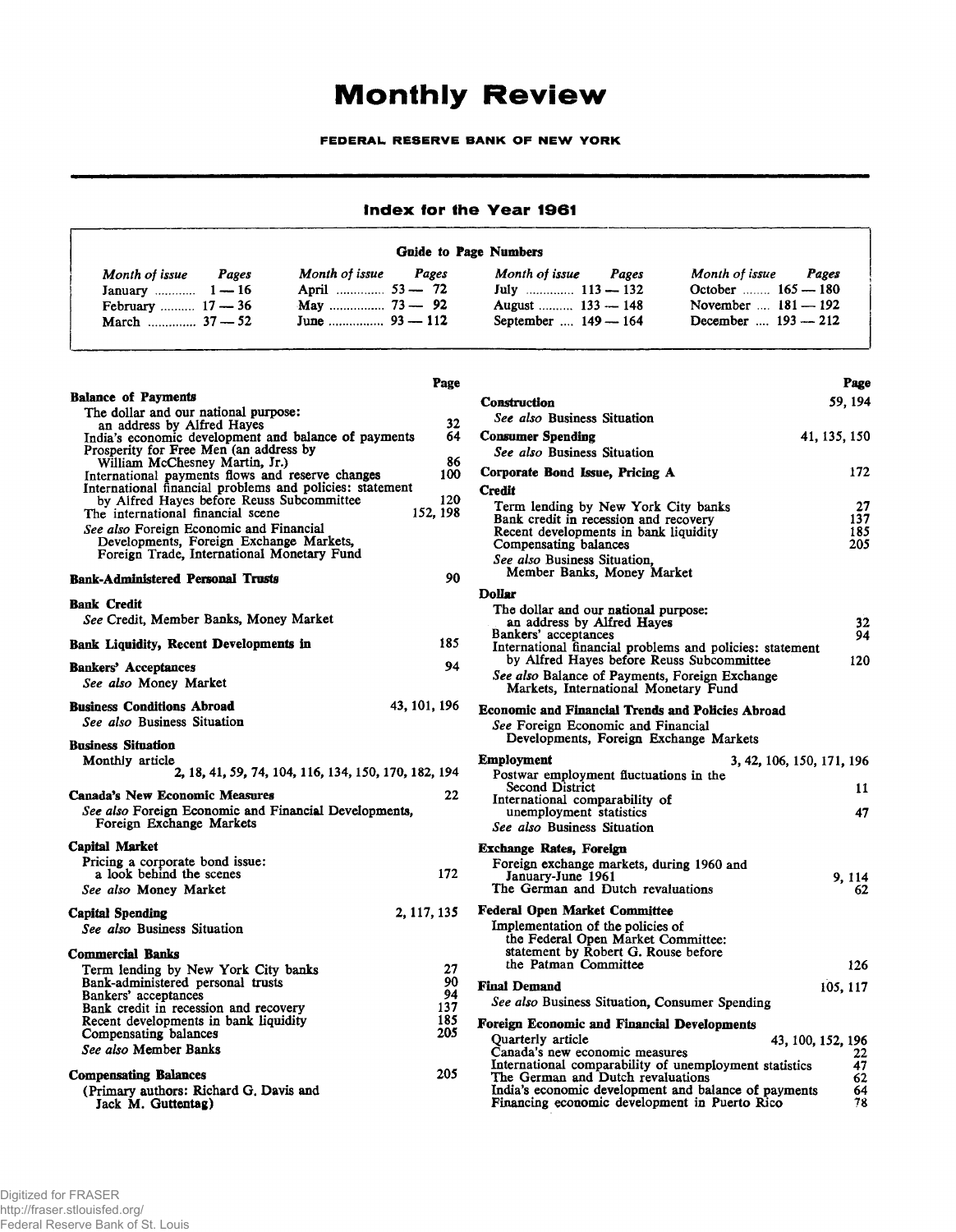## **Monthly Review**

FEDERAL RESERVE BANK OF NEW YORK

## Index for the Year 1961

## Guide to Page Numbers

| Month of issue<br>Pages<br>January $1 - 16$ | Month of issue Pages<br>April  53 - 72 | Month of issue<br>Pages | Month of issue<br>Pages<br>October $165 - 180$ |  |
|---------------------------------------------|----------------------------------------|-------------------------|------------------------------------------------|--|
| February $17 - 36$                          |                                        | August  133 - 148       | November $\dots$ 181 — 192                     |  |
|                                             |                                        | September  149 - 164    | December $193 - 212$                           |  |

## Balance of Payments The dollar and our national purpose: an address by Alfred Hayes India's economic development and balance of payments Prosperity for Free Men (an address by William McChesney Martin, Jr.) International payments flows and reserve changes International financial problems and policies: statement by Alfred Hayes before Reuss Subcommittee Page 32 64 86 100 120 152, 198 90 The international financial scene *See also* Foreign Economic and Financial Developments, Foreign Exchange Markets, Foreign Trade, International Monetary Fund Bank-Administered Personal Trusts Bank Credit *See* Credit, Member Banks, Money Market Bank Liquidity, Recent Developments in 185 Bankers' Acceptances 94 *See also* Money Market Business Conditions Abroad 43, 101, 196 *See also* Business Situation Business Situation Monthly article 2, 18, 41, 59, 74, 104, 116, 134,150,170,182, 194 Canada's New Economic Measures 22 *See also* Foreign Economic and Financial Developments, Foreign Exchange Markets Capital Market Pricing a corporate bond issue: a look behind the scenes *See also* Money Market Capital Spending *See also* Business Situation Commercial Banks Term lending by New York City banks Bank-administered personal trusts Bankers' acceptances Bank credit in recession and recovery Recent developments in bank liquidity Compensating balances *See also* Member Banks Compensating Balances (Primary authors: Richard G. Davis and 172 2,117,135 27 90 94 137 185 205 205

| Construction                                                                              | 59, 194                   |
|-------------------------------------------------------------------------------------------|---------------------------|
| See also Business Situation                                                               |                           |
| <b>Consumer Spending</b>                                                                  | 41, 135, 150              |
| See also Business Situation                                                               |                           |
| Corporate Bond Issue, Pricing A                                                           | 172                       |
| <b>Credit</b>                                                                             |                           |
| Term lending by New York City banks                                                       | 27<br>137                 |
| Bank credit in recession and recovery<br>Recent developments in bank liquidity            | 185                       |
| Compensating balances                                                                     | 205                       |
| See also Business Situation,<br>Member Banks, Money Market                                |                           |
| <b>Dollar</b>                                                                             |                           |
| The dollar and our national purpose:                                                      |                           |
| an address by Alfred Hayes<br>Bankers' acceptances                                        | 32<br>94                  |
| International financial problems and policies: statement                                  |                           |
| by Alfred Hayes before Reuss Subcommittee                                                 | 120                       |
| See also Balance of Payments, Foreign Exchange<br>Markets, International Monetary Fund    |                           |
| <b>Economic and Financial Trends and Policies Abroad</b>                                  |                           |
| See Foreign Economic and Financial<br>Developments, Foreign Exchange Markets              |                           |
| Employment                                                                                | 3, 42, 106, 150, 171, 196 |
| Postwar employment fluctuations in the<br>Second District                                 |                           |
| International comparability of                                                            | 11                        |
| unemployment statistics                                                                   | 47                        |
| See also Business Situation                                                               |                           |
| <b>Exchange Rates, Foreign</b>                                                            |                           |
| Foreign exchange markets, during 1960 and<br>January-June 1961                            |                           |
| The German and Dutch revaluations                                                         | 9, 114<br>62              |
| <b>Federal Open Market Committee</b>                                                      |                           |
| Implementation of the policies of                                                         |                           |
| the Federal Open Market Committee:                                                        |                           |
| statement by Robert G. Rouse before<br>the Patman Committee                               | 126                       |
|                                                                                           |                           |
| <b>Final Demand</b><br>See also Business Situation, Consumer Spending                     | 105, 117                  |
|                                                                                           |                           |
| Foreign Economic and Financial Developments                                               |                           |
| Quarterly article<br>Canada's new economic measures                                       | 43, 100, 152, 196<br>22   |
| International comparability of unemployment statistics                                    | 47                        |
| The German and Dutch revaluations<br>India's economic development and balance of payments | 62<br>64                  |
| Financing economic development in Puerto Rico                                             | 78                        |

Page

Jack M. Guttentag)